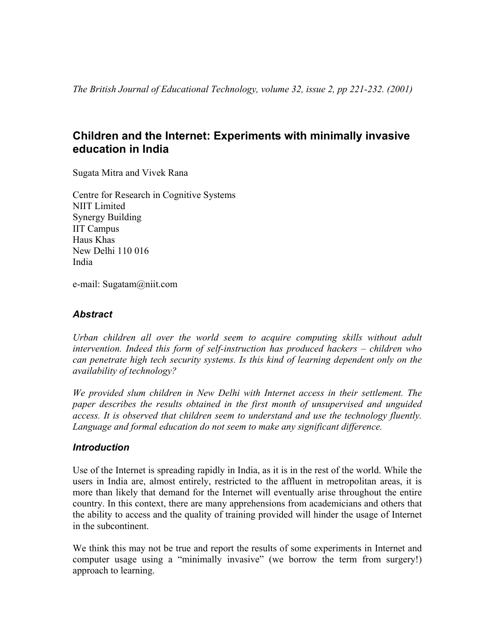# **Children and the Internet: Experiments with minimally invasive education in India**

Sugata Mitra and Vivek Rana

Centre for Research in Cognitive Systems NIIT Limited Synergy Building IIT Campus Haus Khas New Delhi 110 016 India

e-mail: Sugatam@niit.com

# *Abstract*

*Urban children all over the world seem to acquire computing skills without adult intervention. Indeed this form of self-instruction has produced hackers – children who can penetrate high tech security systems. Is this kind of learning dependent only on the availability of technology?* 

*We provided slum children in New Delhi with Internet access in their settlement. The paper describes the results obtained in the first month of unsupervised and unguided access. It is observed that children seem to understand and use the technology fluently. Language and formal education do not seem to make any significant difference.* 

# *Introduction*

Use of the Internet is spreading rapidly in India, as it is in the rest of the world. While the users in India are, almost entirely, restricted to the affluent in metropolitan areas, it is more than likely that demand for the Internet will eventually arise throughout the entire country. In this context, there are many apprehensions from academicians and others that the ability to access and the quality of training provided will hinder the usage of Internet in the subcontinent.

We think this may not be true and report the results of some experiments in Internet and computer usage using a "minimally invasive" (we borrow the term from surgery!) approach to learning.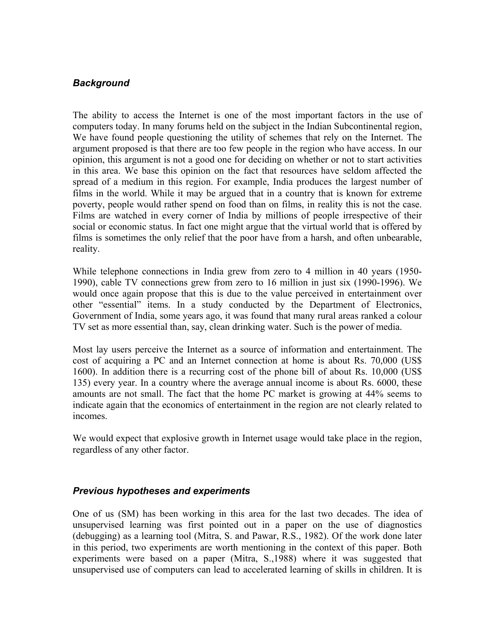# *Background*

The ability to access the Internet is one of the most important factors in the use of computers today. In many forums held on the subject in the Indian Subcontinental region, We have found people questioning the utility of schemes that rely on the Internet. The argument proposed is that there are too few people in the region who have access. In our opinion, this argument is not a good one for deciding on whether or not to start activities in this area. We base this opinion on the fact that resources have seldom affected the spread of a medium in this region. For example, India produces the largest number of films in the world. While it may be argued that in a country that is known for extreme poverty, people would rather spend on food than on films, in reality this is not the case. Films are watched in every corner of India by millions of people irrespective of their social or economic status. In fact one might argue that the virtual world that is offered by films is sometimes the only relief that the poor have from a harsh, and often unbearable, reality.

While telephone connections in India grew from zero to 4 million in 40 years (1950- 1990), cable TV connections grew from zero to 16 million in just six (1990-1996). We would once again propose that this is due to the value perceived in entertainment over other "essential" items. In a study conducted by the Department of Electronics, Government of India, some years ago, it was found that many rural areas ranked a colour TV set as more essential than, say, clean drinking water. Such is the power of media.

Most lay users perceive the Internet as a source of information and entertainment. The cost of acquiring a PC and an Internet connection at home is about Rs. 70,000 (US\$ 1600). In addition there is a recurring cost of the phone bill of about Rs. 10,000 (US\$ 135) every year. In a country where the average annual income is about Rs. 6000, these amounts are not small. The fact that the home PC market is growing at 44% seems to indicate again that the economics of entertainment in the region are not clearly related to incomes.

We would expect that explosive growth in Internet usage would take place in the region, regardless of any other factor.

# *Previous hypotheses and experiments*

One of us (SM) has been working in this area for the last two decades. The idea of unsupervised learning was first pointed out in a paper on the use of diagnostics (debugging) as a learning tool (Mitra, S. and Pawar, R.S., 1982). Of the work done later in this period, two experiments are worth mentioning in the context of this paper. Both experiments were based on a paper (Mitra, S.,1988) where it was suggested that unsupervised use of computers can lead to accelerated learning of skills in children. It is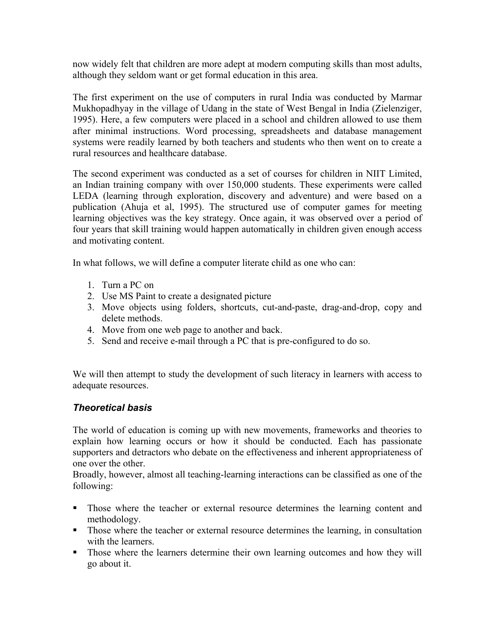now widely felt that children are more adept at modern computing skills than most adults, although they seldom want or get formal education in this area.

The first experiment on the use of computers in rural India was conducted by Marmar Mukhopadhyay in the village of Udang in the state of West Bengal in India (Zielenziger, 1995). Here, a few computers were placed in a school and children allowed to use them after minimal instructions. Word processing, spreadsheets and database management systems were readily learned by both teachers and students who then went on to create a rural resources and healthcare database.

The second experiment was conducted as a set of courses for children in NIIT Limited, an Indian training company with over 150,000 students. These experiments were called LEDA (learning through exploration, discovery and adventure) and were based on a publication (Ahuja et al, 1995). The structured use of computer games for meeting learning objectives was the key strategy. Once again, it was observed over a period of four years that skill training would happen automatically in children given enough access and motivating content.

In what follows, we will define a computer literate child as one who can:

- 1. Turn a PC on
- 2. Use MS Paint to create a designated picture
- 3. Move objects using folders, shortcuts, cut-and-paste, drag-and-drop, copy and delete methods.
- 4. Move from one web page to another and back.
- 5. Send and receive e-mail through a PC that is pre-configured to do so.

We will then attempt to study the development of such literacy in learners with access to adequate resources.

# *Theoretical basis*

The world of education is coming up with new movements, frameworks and theories to explain how learning occurs or how it should be conducted. Each has passionate supporters and detractors who debate on the effectiveness and inherent appropriateness of one over the other.

Broadly, however, almost all teaching-learning interactions can be classified as one of the following:

- Those where the teacher or external resource determines the learning content and methodology.
- Those where the teacher or external resource determines the learning, in consultation with the learners.
- Those where the learners determine their own learning outcomes and how they will go about it.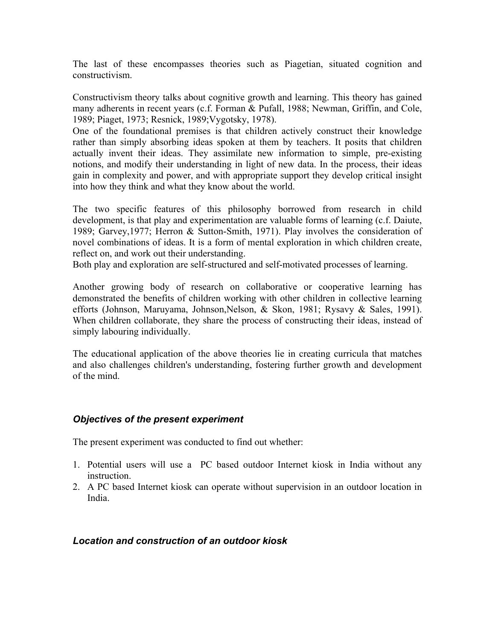The last of these encompasses theories such as Piagetian, situated cognition and constructivism.

Constructivism theory talks about cognitive growth and learning. This theory has gained many adherents in recent years (c.f. Forman & Pufall, 1988; Newman, Griffin, and Cole, 1989; Piaget, 1973; Resnick, 1989;Vygotsky, 1978).

One of the foundational premises is that children actively construct their knowledge rather than simply absorbing ideas spoken at them by teachers. It posits that children actually invent their ideas. They assimilate new information to simple, pre-existing notions, and modify their understanding in light of new data. In the process, their ideas gain in complexity and power, and with appropriate support they develop critical insight into how they think and what they know about the world.

The two specific features of this philosophy borrowed from research in child development, is that play and experimentation are valuable forms of learning (c.f. Daiute, 1989; Garvey,1977; Herron & Sutton-Smith, 1971). Play involves the consideration of novel combinations of ideas. It is a form of mental exploration in which children create, reflect on, and work out their understanding.

Both play and exploration are self-structured and self-motivated processes of learning.

Another growing body of research on collaborative or cooperative learning has demonstrated the benefits of children working with other children in collective learning efforts (Johnson, Maruyama, Johnson,Nelson, & Skon, 1981; Rysavy & Sales, 1991). When children collaborate, they share the process of constructing their ideas, instead of simply labouring individually.

The educational application of the above theories lie in creating curricula that matches and also challenges children's understanding, fostering further growth and development of the mind.

# *Objectives of the present experiment*

The present experiment was conducted to find out whether:

- 1. Potential users will use a PC based outdoor Internet kiosk in India without any **instruction**
- 2. A PC based Internet kiosk can operate without supervision in an outdoor location in India.

### *Location and construction of an outdoor kiosk*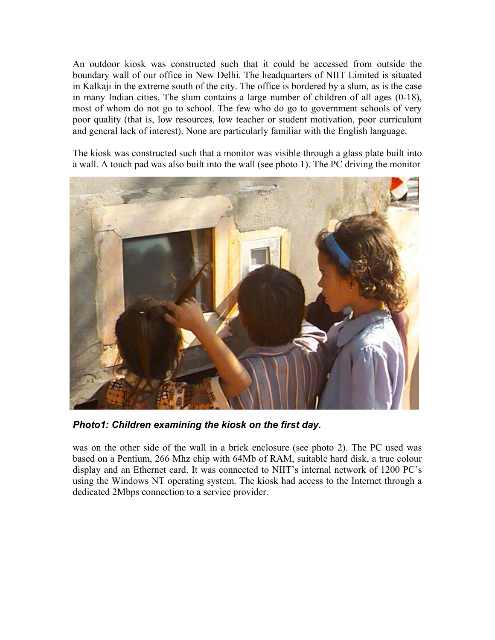An outdoor kiosk was constructed such that it could be accessed from outside the boundary wall of our office in New Delhi. The headquarters of NIIT Limited is situated in Kalkaji in the extreme south of the city. The office is bordered by a slum, as is the case in many Indian cities. The slum contains a large number of children of all ages (0-18), most of whom do not go to school. The few who do go to government schools of very poor quality (that is, low resources, low teacher or student motivation, poor curriculum and general lack of interest). None are particularly familiar with the English language.

The kiosk was constructed such that a monitor was visible through a glass plate built into a wall. A touch pad was also built into the wall (see photo 1). The PC driving the monitor



*Photo1: Children examining the kiosk on the first day.* 

was on the other side of the wall in a brick enclosure (see photo 2). The PC used was based on a Pentium, 266 Mhz chip with 64Mb of RAM, suitable hard disk, a true colour display and an Ethernet card. It was connected to NIIT's internal network of 1200 PC's using the Windows NT operating system. The kiosk had access to the Internet through a dedicated 2Mbps connection to a service provider.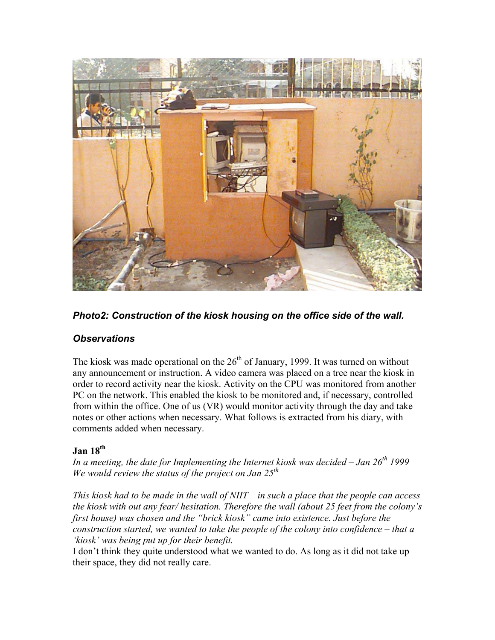

*Photo2: Construction of the kiosk housing on the office side of the wall.* 

# *Observations*

The kiosk was made operational on the  $26<sup>th</sup>$  of January, 1999. It was turned on without any announcement or instruction. A video camera was placed on a tree near the kiosk in order to record activity near the kiosk. Activity on the CPU was monitored from another PC on the network. This enabled the kiosk to be monitored and, if necessary, controlled from within the office. One of us (VR) would monitor activity through the day and take notes or other actions when necessary. What follows is extracted from his diary, with comments added when necessary.

# **Jan 18th**

In a meeting, the date for Implementing the Internet kiosk was decided – Jan 26<sup>th</sup> 1999 *We would review the status of the project on Jan 25th*

*This kiosk had to be made in the wall of NIIT – in such a place that the people can access the kiosk with out any fear/ hesitation. Therefore the wall (about 25 feet from the colony's first house) was chosen and the "brick kiosk" came into existence. Just before the construction started, we wanted to take the people of the colony into confidence – that a 'kiosk' was being put up for their benefit.*

I don't think they quite understood what we wanted to do. As long as it did not take up their space, they did not really care.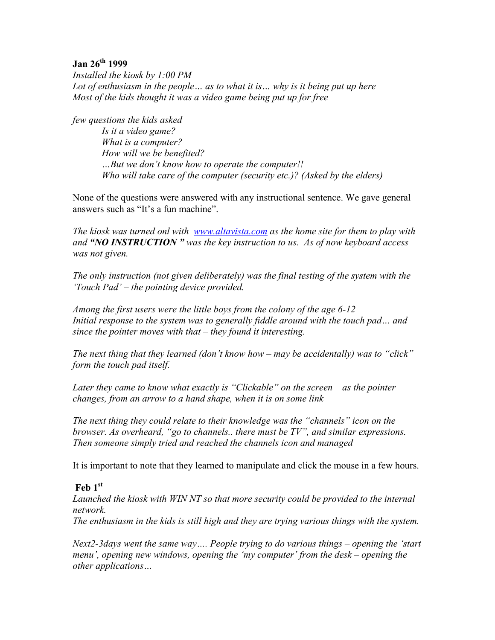### **Jan 26th 1999**

*Installed the kiosk by 1:00 PM Lot of enthusiasm in the people… as to what it is… why is it being put up here Most of the kids thought it was a video game being put up for free* 

*few questions the kids asked* 

 *Is it a video game? What is a computer? How will we be benefited? …But we don't know how to operate the computer!! Who will take care of the computer (security etc.)? (Asked by the elders)* 

None of the questions were answered with any instructional sentence. We gave general answers such as "It's a fun machine".

*The kiosk was turned onl with www.altavista.com as the home site for them to play with and "NO INSTRUCTION " was the key instruction to us. As of now keyboard access was not given.* 

*The only instruction (not given deliberately) was the final testing of the system with the 'Touch Pad' – the pointing device provided.* 

*Among the first users were the little boys from the colony of the age 6-12*  Initial response to the system was to generally fiddle around with the touch pad... and *since the pointer moves with that – they found it interesting.* 

*The next thing that they learned (don't know how – may be accidentally) was to "click" form the touch pad itself.* 

*Later they came to know what exactly is "Clickable" on the screen – as the pointer changes, from an arrow to a hand shape, when it is on some link* 

*The next thing they could relate to their knowledge was the "channels" icon on the browser. As overheard, "go to channels.. there must be TV", and similar expressions. Then someone simply tried and reached the channels icon and managed* 

It is important to note that they learned to manipulate and click the mouse in a few hours.

# **Feb 1st**

*Launched the kiosk with WIN NT so that more security could be provided to the internal network.* 

*The enthusiasm in the kids is still high and they are trying various things with the system.* 

*Next2-3days went the same way…. People trying to do various things – opening the 'start menu', opening new windows, opening the 'my computer' from the desk – opening the other applications…*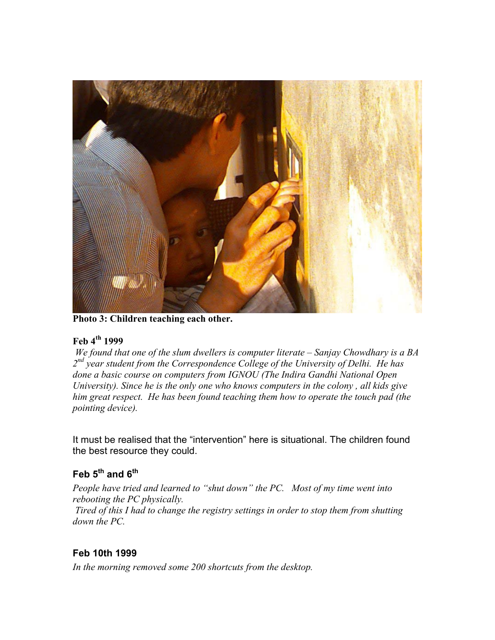

**Photo 3: Children teaching each other.**

# **Feb 4th 1999**

*We found that one of the slum dwellers is computer literate – Sanjay Chowdhary is a BA 2nd year student from the Correspondence College of the University of Delhi. He has done a basic course on computers from IGNOU (The Indira Gandhi National Open University). Since he is the only one who knows computers in the colony , all kids give him great respect. He has been found teaching them how to operate the touch pad (the pointing device).* 

It must be realised that the "intervention" here is situational. The children found the best resource they could.

# **Feb 5th and 6th**

*People have tried and learned to "shut down" the PC. Most of my time went into rebooting the PC physically. Tired of this I had to change the registry settings in order to stop them from shutting down the PC.* 

# **Feb 10th 1999**

*In the morning removed some 200 shortcuts from the desktop.*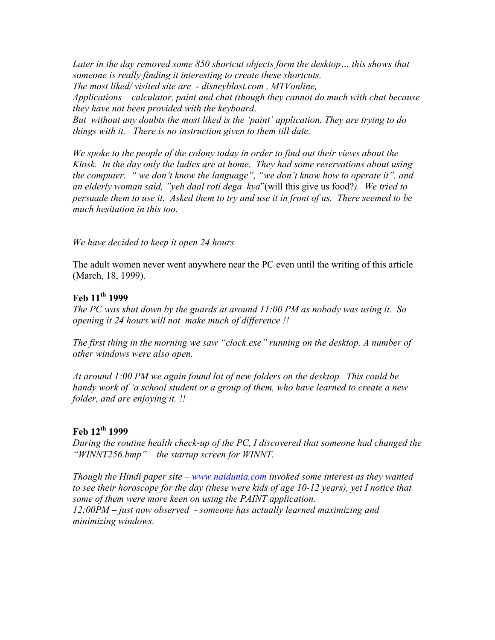Later in the day removed some 850 shortcut objects form the desktop... this shows that *someone is really finding it interesting to create these shortcuts. The most liked/ visited site are - disneyblast.com , MTVonline, Applications – calculator, paint and chat (though they cannot do much with chat because they have not been provided with the keyboard*. *But without any doubts the most liked is the 'paint' application. They are trying to do things with it. There is no instruction given to them till date.* 

*We spoke to the people of the colony today in order to find out their views about the Kiosk. In the day only the ladies are at home. They had some reservations about using the computer. " we don't know the language", "we don't know how to operate it", and an elderly woman said, "yeh daal roti dega kya*"(will this give us food?*). We tried to persuade them to use it. Asked them to try and use it in front of us. There seemed to be much hesitation in this too.* 

#### *We have decided to keep it open 24 hours*

The adult women never went anywhere near the PC even until the writing of this article (March, 18, 1999).

### **Feb 11th 1999**

*The PC was shut down by the guards at around 11:00 PM as nobody was using it. So opening it 24 hours will not make much of difference !!* 

*The first thing in the morning we saw "clock.exe" running on the desktop. A number of other windows were also open.* 

*At around 1:00 PM we again found lot of new folders on the desktop. This could be handy work of 'a school student or a group of them, who have learned to create a new folder, and are enjoying it. !!* 

### **Feb 12th 1999**

*During the routine health check-up of the PC, I discovered that someone had changed the "WINNT256.bmp" – the startup screen for WINNT.* 

*Though the Hindi paper site – www.naidunia.com invoked some interest as they wanted to see their horoscope for the day (these were kids of age 10-12 years), yet I notice that some of them were more keen on using the PAINT application. 12:00PM – just now observed - someone has actually learned maximizing and minimizing windows.*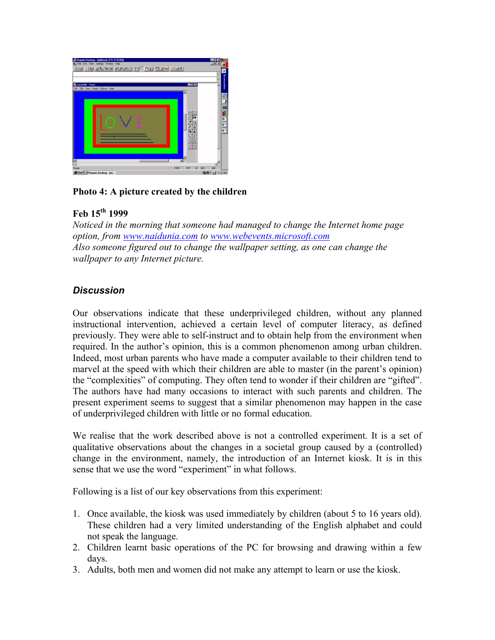

# **Photo 4: A picture created by the children**

# **Feb 15th 1999**

*Noticed in the morning that someone had managed to change the Internet home page option, from www.naidunia.com to www.webevents.microsoft.com Also someone figured out to change the wallpaper setting, as one can change the wallpaper to any Internet picture.*

# *Discussion*

Our observations indicate that these underprivileged children, without any planned instructional intervention, achieved a certain level of computer literacy, as defined previously. They were able to self-instruct and to obtain help from the environment when required. In the author's opinion, this is a common phenomenon among urban children. Indeed, most urban parents who have made a computer available to their children tend to marvel at the speed with which their children are able to master (in the parent's opinion) the "complexities" of computing. They often tend to wonder if their children are "gifted". The authors have had many occasions to interact with such parents and children. The present experiment seems to suggest that a similar phenomenon may happen in the case of underprivileged children with little or no formal education.

We realise that the work described above is not a controlled experiment. It is a set of qualitative observations about the changes in a societal group caused by a (controlled) change in the environment, namely, the introduction of an Internet kiosk. It is in this sense that we use the word "experiment" in what follows.

Following is a list of our key observations from this experiment:

- 1. Once available, the kiosk was used immediately by children (about 5 to 16 years old). These children had a very limited understanding of the English alphabet and could not speak the language.
- 2. Children learnt basic operations of the PC for browsing and drawing within a few days.
- 3. Adults, both men and women did not make any attempt to learn or use the kiosk.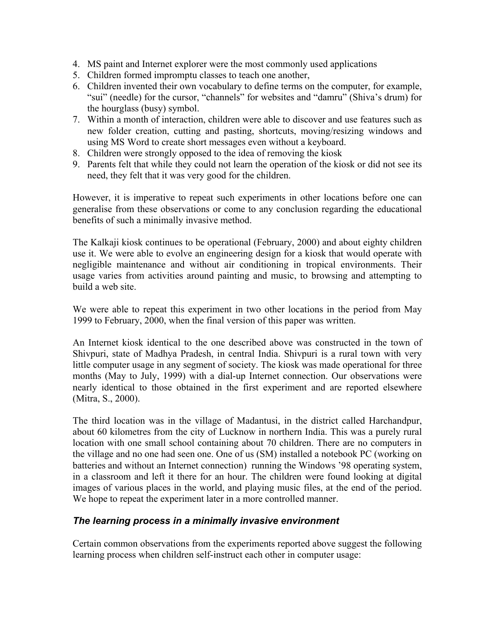- 4. MS paint and Internet explorer were the most commonly used applications
- 5. Children formed impromptu classes to teach one another,
- 6. Children invented their own vocabulary to define terms on the computer, for example, "sui" (needle) for the cursor, "channels" for websites and "damru" (Shiva's drum) for the hourglass (busy) symbol.
- 7. Within a month of interaction, children were able to discover and use features such as new folder creation, cutting and pasting, shortcuts, moving/resizing windows and using MS Word to create short messages even without a keyboard.
- 8. Children were strongly opposed to the idea of removing the kiosk
- 9. Parents felt that while they could not learn the operation of the kiosk or did not see its need, they felt that it was very good for the children.

However, it is imperative to repeat such experiments in other locations before one can generalise from these observations or come to any conclusion regarding the educational benefits of such a minimally invasive method.

The Kalkaji kiosk continues to be operational (February, 2000) and about eighty children use it. We were able to evolve an engineering design for a kiosk that would operate with negligible maintenance and without air conditioning in tropical environments. Their usage varies from activities around painting and music, to browsing and attempting to build a web site.

We were able to repeat this experiment in two other locations in the period from May 1999 to February, 2000, when the final version of this paper was written.

An Internet kiosk identical to the one described above was constructed in the town of Shivpuri, state of Madhya Pradesh, in central India. Shivpuri is a rural town with very little computer usage in any segment of society. The kiosk was made operational for three months (May to July, 1999) with a dial-up Internet connection. Our observations were nearly identical to those obtained in the first experiment and are reported elsewhere (Mitra, S., 2000).

The third location was in the village of Madantusi, in the district called Harchandpur, about 60 kilometres from the city of Lucknow in northern India. This was a purely rural location with one small school containing about 70 children. There are no computers in the village and no one had seen one. One of us (SM) installed a notebook PC (working on batteries and without an Internet connection) running the Windows '98 operating system, in a classroom and left it there for an hour. The children were found looking at digital images of various places in the world, and playing music files, at the end of the period. We hope to repeat the experiment later in a more controlled manner.

# *The learning process in a minimally invasive environment*

Certain common observations from the experiments reported above suggest the following learning process when children self-instruct each other in computer usage: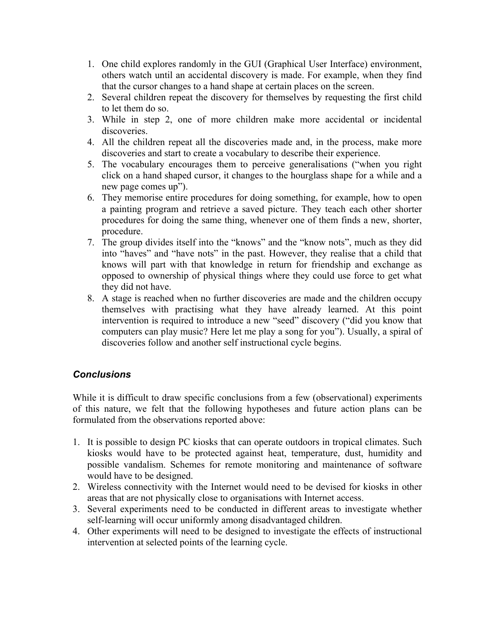- 1. One child explores randomly in the GUI (Graphical User Interface) environment, others watch until an accidental discovery is made. For example, when they find that the cursor changes to a hand shape at certain places on the screen.
- 2. Several children repeat the discovery for themselves by requesting the first child to let them do so.
- 3. While in step 2, one of more children make more accidental or incidental discoveries.
- 4. All the children repeat all the discoveries made and, in the process, make more discoveries and start to create a vocabulary to describe their experience.
- 5. The vocabulary encourages them to perceive generalisations ("when you right click on a hand shaped cursor, it changes to the hourglass shape for a while and a new page comes up").
- 6. They memorise entire procedures for doing something, for example, how to open a painting program and retrieve a saved picture. They teach each other shorter procedures for doing the same thing, whenever one of them finds a new, shorter, procedure.
- 7. The group divides itself into the "knows" and the "know nots", much as they did into "haves" and "have nots" in the past. However, they realise that a child that knows will part with that knowledge in return for friendship and exchange as opposed to ownership of physical things where they could use force to get what they did not have.
- 8. A stage is reached when no further discoveries are made and the children occupy themselves with practising what they have already learned. At this point intervention is required to introduce a new "seed" discovery ("did you know that computers can play music? Here let me play a song for you"). Usually, a spiral of discoveries follow and another self instructional cycle begins.

# *Conclusions*

While it is difficult to draw specific conclusions from a few (observational) experiments of this nature, we felt that the following hypotheses and future action plans can be formulated from the observations reported above:

- 1. It is possible to design PC kiosks that can operate outdoors in tropical climates. Such kiosks would have to be protected against heat, temperature, dust, humidity and possible vandalism. Schemes for remote monitoring and maintenance of software would have to be designed.
- 2. Wireless connectivity with the Internet would need to be devised for kiosks in other areas that are not physically close to organisations with Internet access.
- 3. Several experiments need to be conducted in different areas to investigate whether self-learning will occur uniformly among disadvantaged children.
- 4. Other experiments will need to be designed to investigate the effects of instructional intervention at selected points of the learning cycle.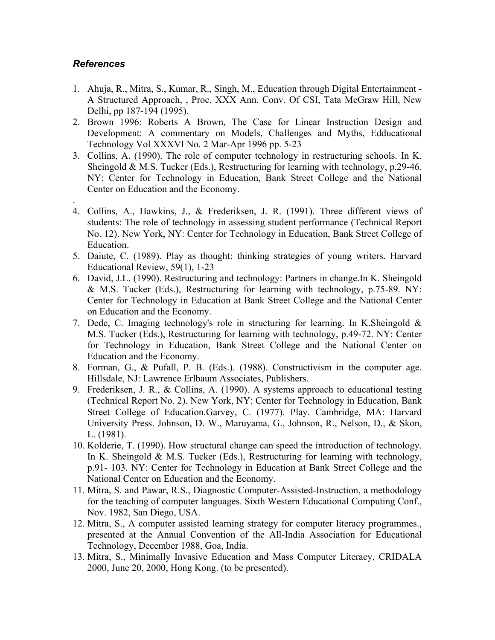# *References*

- 1. Ahuja, R., Mitra, S., Kumar, R., Singh, M., Education through Digital Entertainment A Structured Approach, , Proc. XXX Ann. Conv. Of CSI, Tata McGraw Hill, New Delhi, pp 187-194 (1995).
- 2. Brown 1996: Roberts A Brown, The Case for Linear Instruction Design and Development: A commentary on Models, Challenges and Myths, Edducational Technology Vol XXXVI No. 2 Mar-Apr 1996 pp. 5-23
- 3. Collins, A. (1990). The role of computer technology in restructuring schools. In K. Sheingold & M.S. Tucker (Eds.), Restructuring for learning with technology, p.29-46. NY: Center for Technology in Education, Bank Street College and the National Center on Education and the Economy.
- . 4. Collins, A., Hawkins, J., & Frederiksen, J. R. (1991). Three different views of students: The role of technology in assessing student performance (Technical Report No. 12). New York, NY: Center for Technology in Education, Bank Street College of Education.
- 5. Daiute, C. (1989). Play as thought: thinking strategies of young writers. Harvard Educational Review, 59(1), 1-23
- 6. David, J.L. (1990). Restructuring and technology: Partners in change.In K. Sheingold & M.S. Tucker (Eds.), Restructuring for learning with technology, p.75-89. NY: Center for Technology in Education at Bank Street College and the National Center on Education and the Economy.
- 7. Dede, C. Imaging technology's role in structuring for learning. In K.Sheingold & M.S. Tucker (Eds.), Restructuring for learning with technology, p.49-72. NY: Center for Technology in Education, Bank Street College and the National Center on Education and the Economy.
- 8. Forman, G., & Pufall, P. B. (Eds.). (1988). Constructivism in the computer age. Hillsdale, NJ: Lawrence Erlbaum Associates, Publishers.
- 9. Frederiksen, J. R., & Collins, A. (1990). A systems approach to educational testing (Technical Report No. 2). New York, NY: Center for Technology in Education, Bank Street College of Education.Garvey, C. (1977). Play. Cambridge, MA: Harvard University Press. Johnson, D. W., Maruyama, G., Johnson, R., Nelson, D., & Skon, L. (1981).
- 10. Kolderie, T. (1990). How structural change can speed the introduction of technology. In K. Sheingold  $\&$  M.S. Tucker (Eds.), Restructuring for learning with technology, p.91- 103. NY: Center for Technology in Education at Bank Street College and the National Center on Education and the Economy.
- 11. Mitra, S. and Pawar, R.S., Diagnostic Computer-Assisted-Instruction, a methodology for the teaching of computer languages. Sixth Western Educational Computing Conf., Nov. 1982, San Diego, USA.
- 12. Mitra, S., A computer assisted learning strategy for computer literacy programmes., presented at the Annual Convention of the All-India Association for Educational Technology, December 1988, Goa, India.
- 13. Mitra, S., Minimally Invasive Education and Mass Computer Literacy, CRIDALA 2000, June 20, 2000, Hong Kong. (to be presented).